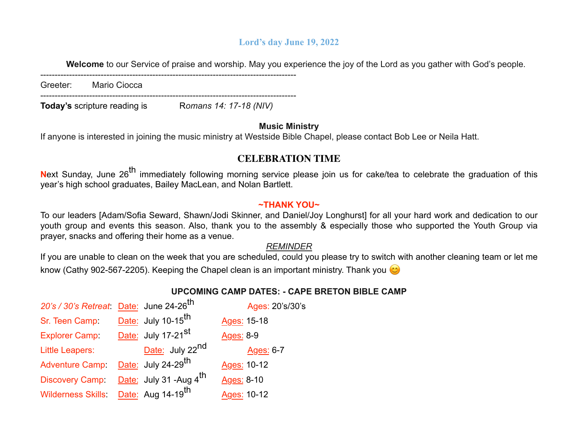## **Lord's day June 19, 2022**

**Welcome** to our Service of praise and worship. May you experience the joy of the Lord as you gather with God's people.

-----------------------------------------------------------------------------------------

Greeter: Mario Ciocca

----------------------------------------------------------------------------------------- **Today's** scripture reading is Romans 14: 17-18 (NIV)

## **Music Ministry**

If anyone is interested in joining the music ministry at Westside Bible Chapel, please contact Bob Lee or Neila Hatt.

# **CELEBRATION TIME**

Next Sunday, June 26<sup>th</sup> immediately following morning service please join us for cake/tea to celebrate the graduation of this year's high school graduates, Bailey MacLean, and Nolan Bartlett.

## **~THANK YOU~**

To our leaders [Adam/Sofia Seward, Shawn/Jodi Skinner, and Daniel/Joy Longhurst] for all your hard work and dedication to our youth group and events this season. Also, thank you to the assembly & especially those who supported the Youth Group via prayer, snacks and offering their home as a venue.

## *REMINDER*

If you are unable to clean on the week that you are scheduled, could you please try to switch with another cleaning team or let me know (Cathy 902-567-2205). Keeping the Chapel clean is an important ministry. Thank you

# **UPCOMING CAMP DATES: - CAPE BRETON BIBLE CAMP**

| 20's / 30's Retreat: Date: June 24-26 <sup>th</sup> |                                  | Ages: 20's/30's |
|-----------------------------------------------------|----------------------------------|-----------------|
| Sr. Teen Camp:                                      | Date: July 10-15 <sup>th</sup>   | Ages: 15-18     |
| <b>Explorer Camp:</b>                               | Date: July 17-21 <sup>st</sup>   | Ages: 8-9       |
| <b>Little Leapers:</b>                              | Date: July 22 <sup>nd</sup>      | Ages: 6-7       |
| <b>Adventure Camp:</b>                              | $Date:$ July 24-29 <sup>th</sup> | Ages: 10-12     |
| <b>Discovery Camp</b>                               | Date: July 31 -Aug $4th$         | Ages: 8-10      |
| <b>Wilderness Skills:</b>                           | Date: Aug 14-19 <sup>th</sup>    | Ages: 10-12     |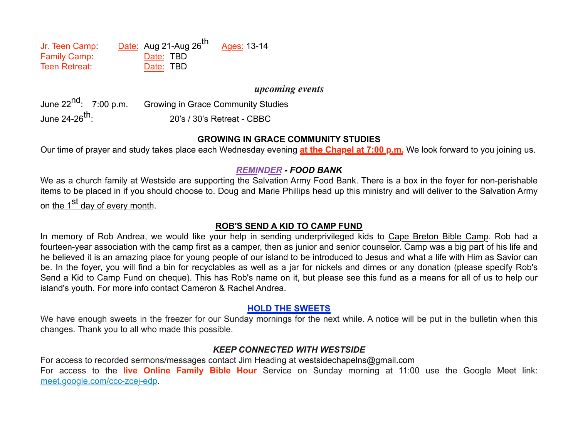Jr. Teen Camp: Date: Aug 21-Aug  $26^{th}$  Ages: 13-14 Family Camp: Date: TBD Teen Retreat: Date: TBD

#### *upcoming events*

June 22<sup>nd</sup>: 7:00 p.m. Growing in Grace Community Studies June 24-26th: 20's / 30's Retreat - CBBC

#### **GROWING IN GRACE COMMUNITY STUDIES**

Our time of prayer and study takes place each Wednesday evening **at the Chapel at 7:00 p.m.** We look forward to you joining us.

## *REMINDER - FOOD BANK*

We as a church family at Westside are supporting the Salvation Army Food Bank. There is a box in the foyer for non-perishable items to be placed in if you should choose to. Doug and Marie Phillips head up this ministry and will deliver to the Salvation Army on the 1<sup>st</sup> day of every month.

#### **ROB'S SEND A KID TO CAMP FUND**

In memory of Rob Andrea, we would like your help in sending underprivileged kids to Cape Breton Bible Camp. Rob had a fourteen-year association with the camp first as a camper, then as junior and senior counselor. Camp was a big part of his life and he believed it is an amazing place for young people of our island to be introduced to Jesus and what a life with Him as Savior can be. In the foyer, you will find a bin for recyclables as well as a jar for nickels and dimes or any donation (please specify Rob's Send a Kid to Camp Fund on cheque). This has Rob's name on it, but please see this fund as a means for all of us to help our island's youth. For more info contact Cameron & Rachel Andrea.

## **HOLD THE SWEETS**

We have enough sweets in the freezer for our Sunday mornings for the next while. A notice will be put in the bulletin when this changes. Thank you to all who made this possible.

#### *KEEP CONNECTED WITH WESTSIDE*

For access to recorded sermons/messages contact Jim Heading at westsidechapelns@gmail.com For access to the **live Online Family Bible Hour** Service on Sunday morning at 11:00 use the Google Meet link: meet.google.com/ccc-zcej-edp.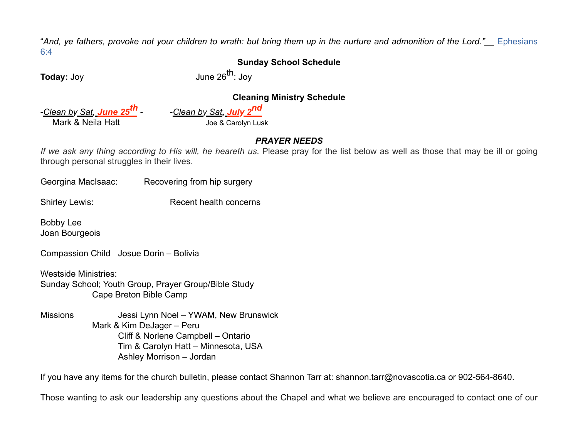"*And, ye fathers, provoke not your children to wrath: but bring them up in the nurture and admonition of the Lord."\_\_* Ephesians 6:4

## **Sunday School Schedule**

**Today:** Joy **Contract Contract Setup Setup June 26<sup>th</sup>: Joy** 

### **Cleaning Ministry Schedule**

-*Clean by Sat, June 25th* - -*Clean by Sat, July 2nd* Mark & Neila Hatt **Joe & Carolyn Lusk** 

## *PRAYER NEEDS*

*If we ask any thing according to His will, he heareth us*. Please pray for the list below as well as those that may be ill or going through personal struggles in their lives.

Georgina MacIsaac: Recovering from hip surgery

Shirley Lewis: Recent health concerns

Bobby Lee Joan Bourgeois

Compassion Child Josue Dorin – Bolivia

Westside Ministries: Sunday School; Youth Group, Prayer Group/Bible Study Cape Breton Bible Camp

Missions Jessi Lynn Noel – YWAM, New Brunswick Mark & Kim DeJager – Peru Cliff & Norlene Campbell – Ontario Tim & Carolyn Hatt – Minnesota, USA Ashley Morrison – Jordan

If you have any items for the church bulletin, please contact Shannon Tarr at: shannon.tarr@novascotia.ca or 902-564-8640.

Those wanting to ask our leadership any questions about the Chapel and what we believe are encouraged to contact one of our